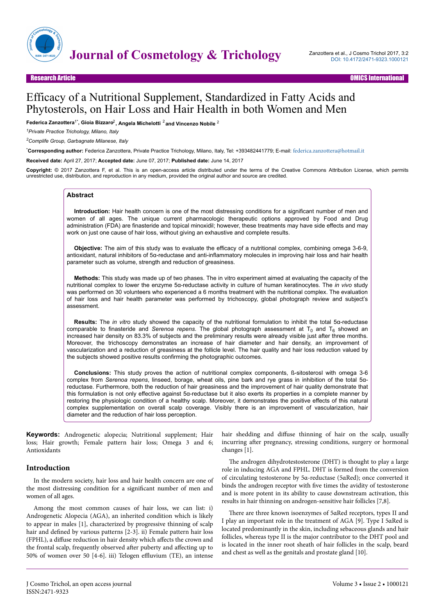

## Research Article OMICS International

# Efficacy of a Nutritional Supplement, Standardized in Fatty Acids and Phytosterols, on Hair Loss and Hair Health in both Women and Men

Federica Zanzottera<sup>1\*</sup>, Gioia Bizzaro<sup>2</sup>, Angela Michelotti <sup>2</sup> and Vincenzo Nobile <sup>2</sup>

*<sup>1</sup>Private Practice Trichology, Milano, Italy*

*<sup>2</sup>Complife Group, Garbagnate Milanese, Italy*

\***Corresponding author:** Federica Zanzottera, Private Practice Trichology, Milano, Italy, Tel: +393482441779; E-mail: [federica.zanzottera@hotmail.it](mailto:federica.zanzottera@hotmail.it)

**Received date:** April 27, 2017; **Accepted date:** June 07, 2017; **Published date:** June 14, 2017

**Copyright:** © 2017 Zanzottera F, et al. This is an open-access article distributed under the terms of the Creative Commons Attribution License, which permits unrestricted use, distribution, and reproduction in any medium, provided the original author and source are credited.

# **Abstract**

**Introduction:** Hair health concern is one of the most distressing conditions for a significant number of men and women of all ages. The unique current pharmacologic therapeutic options approved by Food and Drug administration (FDA) are finasteride and topical minoxidil; however, these treatments may have side effects and may work on just one cause of hair loss, without giving an exhaustive and complete results.

**Objective:** The aim of this study was to evaluate the efficacy of a nutritional complex, combining omega 3-6-9, antioxidant, natural inhibitors of 5α-reductase and anti-inflammatory molecules in improving hair loss and hair health parameter such as volume, strength and reduction of greasiness.

**Methods:** This study was made up of two phases. The in vitro experiment aimed at evaluating the capacity of the nutritional complex to lower the enzyme 5α-reductase activity in culture of human keratinocytes. The *in vivo* study was performed on 30 volunteers who experienced a 6 months treatment with the nutritional complex. The evaluation of hair loss and hair health parameter was performed by trichoscopy, global photograph review and subject's assessment.

**Results:** The *in vitro* study showed the capacity of the nutritional formulation to inhibit the total 5α-reductase comparable to finasteride and *Serenoa repens*. The global photograph assessment at T<sub>0</sub> and T<sub>6</sub> showed an increased hair density on 83.3% of subjects and the preliminary results were already visible just after three months. Moreover, the trichoscopy demonstrates an increase of hair diameter and hair density, an improvement of vascularization and a reduction of greasiness at the follicle level. The hair quality and hair loss reduction valued by the subjects showed positive results confirming the photographic outcomes.

**Conclusions:** This study proves the action of nutritional complex components, ß-sitosterosl with omega 3-6 complex from *Serenoa repens*, linseed, borage, wheat oils, pine bark and rye grass in inhibition of the total 5αreductase. Furthermore, both the reduction of hair greasiness and the improvement of hair quality demonstrate that this formulation is not only effective against 5α-reductase but it also exerts its properties in a complete manner by restoring the physiologic condition of a healthy scalp. Moreover, it demonstrates the positive effects of this natural complex supplementation on overall scalp coverage. Visibly there is an improvement of vascularization, hair diameter and the reduction of hair loss perception.

**Keywords:** Androgenetic alopecia; Nutritional supplement; Hair loss; Hair growth; Female pattern hair loss; Omega 3 and 6; Antioxidants

# **Introduction**

In the modern society, hair loss and hair health concern are one of the most distressing condition for a significant number of men and women of all ages.

Among the most common causes of hair loss, we can list: i) Androgenetic Alopecia (AGA), an inherited condition which is likely to appear in males [1], characterized by progressive thinning of scalp hair and defined by various patterns [2-3]. ii) Female pattern hair loss (FPHL), a diffuse reduction in hair density which affects the crown and the frontal scalp, frequently observed after puberty and affecting up to 50% of women over 50 [4-6]. iii) Telogen effluvium (TE), an intense

hair shedding and diffuse thinning of hair on the scalp, usually incurring after pregnancy, stressing conditions, surgery or hormonal changes [1].

The androgen dihydrotestosterone (DHT) is thought to play a large role in inducing AGA and FPHL. DHT is formed from the conversion of circulating testosterone by 5α-reductase (5αRed); once converted it binds the androgen receptor with five times the avidity of testosterone and is more potent in its ability to cause downstream activation, this results in hair thinning on androgen-sensitive hair follicles [7,8].

Нere are three known isoenzymes of 5αRed receptors, types II and I play an important role in the treatment of AGA [9]. Type I 5αRed is located predominantly in the skin, including sebaceous glands and hair follicles, whereas type II is the major contributor to the DHT pool and is located in the inner root sheath of hair follicles in the scalp, beard and chest as well as the genitals and prostate gland [10].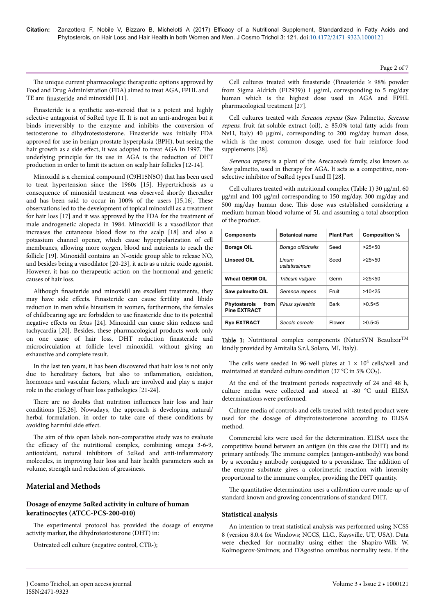The unique current pharmacologic therapeutic options approved by Food and Drug Administration (FDA) aimed to treat AGA, FPHL and TE are finasteride and minoxidil [11].

Finasteride is a synthetic azo-steroid that is a potent and highly selective antagonist of 5αRed type II. It is not an anti-androgen but it binds irreversibly to the enzyme and inhibits the conversion of testosterone to dihydrotestosterone. Finasteride was initially FDA approved for use in benign prostate hyperplasia (BPH), but seeing the hair growth as a side effect, it was adopted to treat AGA in 1997. The underlying principle for its use in AGA is the reduction of DHT production in order to limit its action on scalp hair follicles [12-14].

Minoxidil is a chemical compound (C9H15N5O) that has been used to treat hypertension since the 1960s [15]. Hypertrichosis as a consequence of minoxidil treatment was observed shortly thereafter and has been said to occur in 100% of the users [15,16]. Нese observations led to the development of topical minoxidil as a treatment for hair loss [17] and it was approved by the FDA for the treatment of male androgenetic alopecia in 1984. Minoxidil is a vasodilator that increases the cutaneous blood flow to the scalp [18] and also a potassium channel opener, which cause hyperpolarization of cell membranes, allowing more oxygen, blood and nutrients to reach the follicle [19]. Minoxidil contains an N-oxide group able to release NO, and besides being a vasodilator [20-23], it acts as a nitric oxide agonist. However, it has no therapeutic action on the hormonal and genetic causes of hair loss.

Although finasteride and minoxidil are excellent treatments, they may have side effects. Finasteride can cause fertility and libido reduction in men while hirsutism in women, furthermore, the females of childbearing age are forbidden to use finasteride due to its potential negative effects on fetus [24]. Minoxidil can cause skin redness and tachycardia [20]. Besides, these pharmacological products work only on one cause of hair loss, DHT reduction finasteride and microcirculation at follicle level minoxidil, without giving an exhaustive and complete result.

In the last ten years, it has been discovered that hair loss is not only due to hereditary factors, but also to inflammation, oxidation, hormones and vascular factors, which are involved and play a major role in the etiology of hair loss pathologies [21-24].

There are no doubts that nutrition influences hair loss and hair conditions [25,26]. Nowadays, the approach is developing natural/ herbal formulation, in order to take care of these conditions by avoiding harmful side effect.

The aim of this open labels non-comparative study was to evaluate the efficacy of the nutritional complex, combining omega 3-6-9, antioxidant, natural inhibitors of 5αRed and anti-inflammator\ molecules, in improving hair loss and hair health parameters such as volume, strength and reduction of greasiness.

# **Material and Methods**

# **Dosage of enzyme 5αRed activity in culture of human keratinocytes (ATCC-PCS-200-010)**

The experimental protocol has provided the dosage of enzyme activity marker, the dihydrotestosterone (DHT) in:

Untreated cell culture (negative control, CTR-);

Cell cultures treated with finasteride (Finasteride  $\geq$  98% powder from Sigma Aldrich (F12939)) 1 µg/ml, corresponding to 5 mg/day human which is the highest dose used in AGA and FPHL pharmacological treatment [27].

Cell cultures treated with Serenoa repens (Saw Palmetto, Serenoa *repens*, fruit fat-soluble extract (oil),  $\geq$  85.0% total fatty acids from NvH, Italy) 40 µg/ml, corresponding to 200 mg/day human dose, which is the most common dosage, used for hair reinforce food supplements [28].

Serenoa repens is a plant of the Arecaceae's family, also known as Saw palmetto, used in therapy for AGA. It acts as a competitive, nonselective inhibitor of 5αRed types I and II [28].

Cell cultures treated with nutritional complex (Table 1) 30 µg/ml, 60 µg/ml and 100 µg/ml corresponding to 150 mg/day, 300 mg/day and 500 mg/day human dose. Нis dose was established considering a medium human blood volume of 5L and assuming a total absorption of the product.

| <b>Components</b>                                    | <b>Botanical name</b>  | <b>Plant Part</b> | Composition % |
|------------------------------------------------------|------------------------|-------------------|---------------|
| <b>Borage OIL</b>                                    | Borago officinalis     | Seed              | >25<50        |
| <b>Linseed OIL</b>                                   | Linum<br>usitatissimum | Seed              | >25<50        |
| <b>Wheat GERM OIL</b>                                | Triticum vulgare       | Germ              | >25< 50       |
| Saw palmetto OIL                                     | Serenoa repens         | Fruit             | >10<25        |
| from  <br><b>Phytosterols</b><br><b>Pine EXTRACT</b> | Pinus sylvestris       | <b>Bark</b>       | >0.5<5        |
| <b>Rye EXTRACT</b>                                   | Secale cereale         | Flower            | >0.5<5        |

Table 1: Nutritional complex components (NaturSYN Beaulixir $^{TM}$ kindly provided by Amitalia S.r.l, Solaro, MI, Italy).

The cells were seeded in 96-well plates at  $1 \times 10^4$  cells/well and maintained at standard culture condition (37 °C in 5%  $CO<sub>2</sub>$ ).

At the end of the treatment periods respectively of 24 and 48 h, culture media were collected and stored at -80 °C until ELISA determinations were performed.

Culture media of controls and cells treated with tested product were used for the dosage of dihydrotestosterone according to ELISA method.

Commercial kits were used for the determination. ELISA uses the competitive bound between an antigen (in this case the DHT) and its primary antibody. Нe immune complex (antigen-antibody) was bond by a secondary antibody conjugated to a peroxidase. Нe addition of the enzyme substrate gives a colorimetric reaction with intensity proportional to the immune complex, providing the DHT quantity.

The quantitative determination uses a calibration curve made-up of standard known and growing concentrations of standard DHT.

# **Statistical analysis**

An intention to treat statistical analysis was performed using NCSS 8 (version 8.0.4 for Windows; NCCS, LLC., Kaysville, UT, USA). Data were checked for normality using either the Shapiro-Wilk W, Kolmogorov-Smirnov, and D'Agostino omnibus normality tests. If the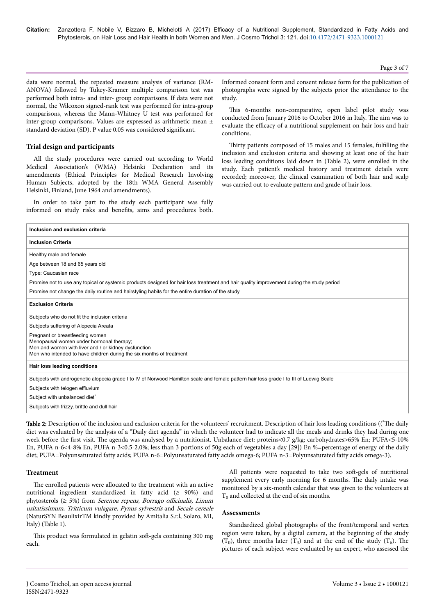**Citation:** Zanzottera F, Nobile V, Bizzaro B, Michelotti A (2017) Efficacy of a Nutritional Supplement, Standardized in Fatty Acids and Phytosterols, on Hair Loss and Hair Health in both Women and Men. J Cosmo Trichol 3: 121. doi:10.4172/2471-9323.1000121

Page 3 of 7

data were normal, the repeated measure analysis of variance (RM-ANOVA) followed by Tukey-Kramer multiple comparison test was performed both intra- and inter- group comparisons. If data were not normal, the Wilcoxon signed-rank test was performed for intra-group comparisons, whereas the Mann-Whitney U test was performed for inter-group comparisons. Values are expressed as arithmetic mean ± standard deviation (SD). P value 0.05 was considered significant.

## **Trial design and participants**

All the study procedures were carried out according to World Medical Association's (WMA) Helsinki Declaration and its amendments (Ethical Principles for Medical Research Involving Human Subjects, adopted by the 18th WMA General Assembly Helsinki, Finland, June 1964 and amendments).

In order to take part to the study each participant was fully informed on study risks and benefits, aims and procedures both.

Informed consent form and consent release form for the publication of photographs were signed by the subjects prior the attendance to the study.

This 6-months non-comparative, open label pilot study was conducted from January 2016 to October 2016 in Italy. Нe aim was to evaluate the efficacy of a nutritional supplement on hair loss and hair conditions.

Thirty patients composed of 15 males and 15 females, fulfilling the inclusion and exclusion criteria and showing at least one of the hair loss leading conditions laid down in (Table 2), were enrolled in the study. Each patient's medical history and treatment details were recorded; moreover, the clinical examination of both hair and scalp was carried out to evaluate pattern and grade of hair loss.

| Inclusion and exclusion criteria                                                                                                                                                                            |
|-------------------------------------------------------------------------------------------------------------------------------------------------------------------------------------------------------------|
| <b>Inclusion Criteria</b>                                                                                                                                                                                   |
| Healthy male and female                                                                                                                                                                                     |
| Age between 18 and 65 years old                                                                                                                                                                             |
| Type: Caucasian race                                                                                                                                                                                        |
| Promise not to use any topical or systemic products designed for hair loss treatment and hair quality improvement during the study period                                                                   |
| Promise not change the daily routine and hairstyling habits for the entire duration of the study                                                                                                            |
| <b>Exclusion Criteria</b>                                                                                                                                                                                   |
| Subjects who do not fit the inclusion criteria                                                                                                                                                              |
| Subjects suffering of Alopecia Areata                                                                                                                                                                       |
| Pregnant or breastfeeding women<br>Menopausal women under hormonal therapy;<br>Men and women with liver and / or kidney dysfunction<br>Men who intended to have children during the six months of treatment |
| Hair loss leading conditions                                                                                                                                                                                |
| Subjects with androgenetic alopecia grade I to IV of Norwood Hamilton scale and female pattern hair loss grade I to III of Ludwig Scale                                                                     |
| Subjects with telogen effluvium                                                                                                                                                                             |
| Subject with unbalanced diet*                                                                                                                                                                               |
| Subjects with frizzy, brittle and dull hair                                                                                                                                                                 |

Table 2: Description of the inclusion and exclusion criteria for the volunteers' recruitment. Description of hair loss leading conditions ((\*The daily diet was evaluated by the analysis of a "Daily diet agenda" in which the volunteer had to indicate all the meals and drinks they had during one week before the first visit. The agenda was analysed by a nutritionist. Unbalance diet: proteins<0.7 g/kg; carbohydrates>65% En; PUFA<5-10% En, PUFA n-6<4-8% En, PUFA n-3<0.5-2.0%; less than 3 portions of 50g each of vegetables a day [29]) En %=percentage of energy of the daily diet; PUFA=Polyunsaturated fatty acids; PUFA n-6=Polyunsaturated fatty acids omega-6; PUFA n-3=Polyunsaturated fatty acids omega-3).

#### **Treatment**

The enrolled patients were allocated to the treatment with an active nutritional ingredient standardized in fatty acid (≥ 90%) and phytosterols ( $\geq$  5%) from *Serenoa repens*, *Borrago officinalis*, *Linum* usitatissimum, Tritticum vulagare, Pynus sylvestris and Secale cereale (NaturSYN BeaulixirTM kindly provided by Amitalia S.r.l, Solaro, MI, Italy) (Table 1).

This product was formulated in gelatin soft-gels containing 300 mg each.

All patients were requested to take two soft-gels of nutritional supplement every early morning for 6 months. The daily intake was monitored by a six-month calendar that was given to the volunteers at  $T_0$  and collected at the end of six months.

## **Assessments**

Standardized global photographs of the front/temporal and vertex region were taken, by a digital camera, at the beginning of the study  $(T_0)$ , three months later  $(T_3)$  and at the end of the study  $(T_6)$ . The pictures of each subject were evaluated by an expert, who assessed the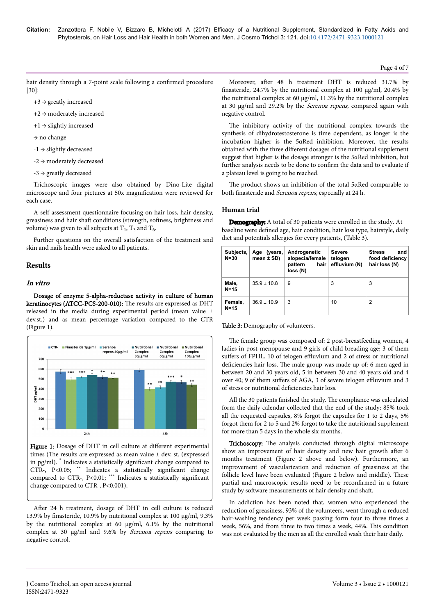**Citation:** Zanzottera F, Nobile V, Bizzaro B, Michelotti A (2017) Efficacy of a Nutritional Supplement, Standardized in Fatty Acids and Phytosterols, on Hair Loss and Hair Health in both Women and Men. J Cosmo Trichol 3: 121. doi:10.4172/2471-9323.1000121

hair density through a 7-point scale following a confirmed procedure [30]:

- $+3 \rightarrow$  greatly increased
- +2 → moderately increased
- +1 → slightly increased
- → no change
- -1 → slightly decreased
- -2 → moderately decreased
- $-3 \rightarrow$  greatly decreased

Trichoscopic images were also obtained by Dino-Lite digital microscope and four pictures at 50x magnification were reviewed for each case.

A self-assessment questionnaire focusing on hair loss, hair density, greasiness and hair shaft conditions (strength, softness, brightness and volume) was given to all subjects at  $T_1$ ,  $T_3$  and  $T_6$ .

Further questions on the overall satisfaction of the treatment and skin and nails health were asked to all patients.

## **Results**

# **In vitro**

Dosage of enzyme 5-alpha-reductase activity in culture of human keratinocytes (ATCC-PCS-200-010): Нe results are expressed as DHT released in the media during experimental period (mean value ± dev.st.) and as mean percentage variation compared to the CTR (Figure 1).



Figure 1: Dosage of DHT in cell culture at different experimental times (The results are expressed as mean value  $\pm$  dev. st. (expressed in pg/ml). \* Indicates a statistically significant change compared to CTR-, P<0.05; \*\* Indicates a statistically significant change compared to CTR-, P<0.01; \*\*\* Indicates a statistically significant change compared to CTR-, P<0.001).

After 24 h treatment, dosage of DHT in cell culture is reduced 13.9% by finasteride, 10.9% by nutritional complex at 100 µg/ml, 9.3% by the nutritional complex at 60 µg/ml, 6.1% by the nutritional complex at 30 µg/ml and 9.6% by Serenoa repens comparing to negative control.

Moreover, after 48 h treatment DHT is reduced 31.7% by finasteride, 24.7% by the nutritional complex at 100 µg/ml, 20.4% by the nutritional complex at 60  $\mu$ g/ml, 11.3% by the nutritional complex at 30 µg/ml and 29.2% by the Serenoa repens, compared again with negative control.

The inhibitory activity of the nutritional complex towards the synthesis of dihydrotestosterone is time dependent, as longer is the incubation higher is the 5αRed inhibition. Moreover, the results obtained with the three different dosages of the nutritional supplement suggest that higher is the dosage stronger is the 5αRed inhibition, but further analysis needs to be done to confirm the data and to evaluate if a plateau level is going to be reached.

Нe product shows an inhibition of the total 5αRed comparable to both finasteride and Serenoa repens, especially at 24 h.

## **Human trial**

baseline were defined age, hair condition, hair loss type, hairstyle, daily diet and potentials allergies for every patients, (Table 3). Demography: A total of 30 patients were enrolled in the study. At

| Subjects,<br>$N = 30$ | (vears,<br>Age<br>mean $\pm$ SD) | Androgenetic<br>alopecia/female<br>hair<br>pattern<br>loss (N) | Severe<br>telogen<br>effluvium (N) | and<br><b>Stress</b><br>food deficiency<br>hair loss (N) |
|-----------------------|----------------------------------|----------------------------------------------------------------|------------------------------------|----------------------------------------------------------|
| Male,<br>$N=15$       | $35.9 \pm 10.8$                  | 9                                                              | 3                                  | 3                                                        |
| Female,<br>$N=15$     | $36.9 \pm 10.9$                  | 3                                                              | 10                                 | 2                                                        |

Table 3: Demography of volunteers.

The female group was composed of: 2 post-breastfeeding women, 4 ladies in post-menopause and 9 girls of child breading age; 3 of them suffers of FPHL, 10 of telogen effluvium and 2 of stress or nutritional deficiencies hair loss. Нe male group was made up of: 6 men aged in between 20 and 30 years old, 5 in between 30 and 40 years old and 4 over 40; 9 of them suffers of AGA, 3 of severe telogen effluvium and 3 of stress or nutritional deficiencies hair loss.

All the 30 patients finished the study. Нe compliance was calculated form the daily calendar collected that the end of the study: 85% took all the requested capsules, 8% forgot the capsules for 1 to 2 days, 5% forgot them for 2 to 5 and 2% forgot to take the nutritional supplement for more than 5 days in the whole six months.

Trichoscopy: The analysis conducted through digital microscope show an improvement of hair density and new hair growth after 6 months treatment (Figure 2 above and below). Furthermore, an improvement of vascularization and reduction of greasiness at the follicle level have been evaluated (Figure 2 below and middle). Нese partial and macroscopic results need to be reconfirmed in a future study by software measurements of hair density and shaft.

In addiction has been noted that, women who experienced the reduction of greasiness, 93% of the volunteers, went through a reduced hair-washing tendency per week passing form four to three times a week, 56%, and from three to two times a week, 44%. Нis condition was not evaluated by the men as all the enrolled wash their hair daily.

## Page 4 of 7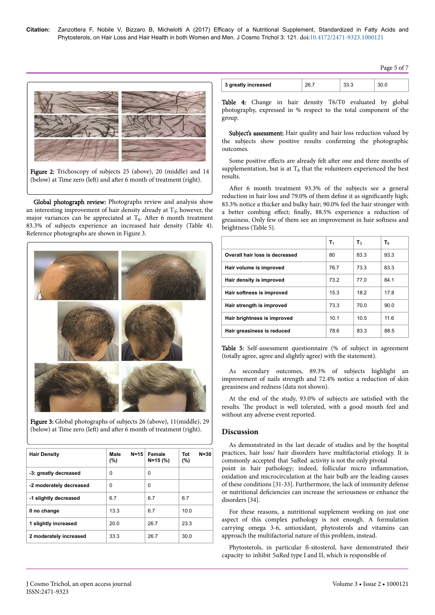| 3 greatly increased                                                                                                        | 26.7 | 33.3 | 30.0 |
|----------------------------------------------------------------------------------------------------------------------------|------|------|------|
| Table 4: Change in hair density T6/T0 evaluated by<br>photography, expressed in % respect to the total component<br>group. |      |      |      |

Subject's assessment: Hair quality and hair loss reduction valued by the subjects show positive results confirming the photographic outcomes.

Some positive effects are already felt after one and three months of supplementation, but is at  $T_6$  that the volunteers experienced the best results.

After 6 month treatment 93.3% of the subjects see a general reduction in hair loss and 79.0% of them define it as significantly high; 83.3% notice a thicker and bulky hair; 90.0% feel the hair stronger with a better combing effect; finally, 88.5% experience a reduction of greasiness. Only few of them see an improvement in hair softness and brightness (Table 5).

|                                | $\mathsf{T}_1$  | $T_3$ | T۴   |
|--------------------------------|-----------------|-------|------|
| Overall hair loss is decreased | 80              | 83.3  | 93.3 |
| Hair volume is improved        | 767             | 733   | 83.3 |
| Hair density is improved       | 732             | 77 Q  | 84 1 |
| Hair softness is improved      | 15.3            | 18.2  | 17.8 |
| Hair strength is improved      | 733             | 70 Q  | 90.0 |
| Hair brightness is improved    | 10 <sub>1</sub> | 10.5  | 116  |
| Hair greasiness is reduced     | 78.6            | 83.3  | 88.5 |

Table 5: Self-assessment questionnaire (% of subject in agreement (totally agree, agree and slightly agree) with the statement).

As secondary outcomes, 89.3% of subjects highlight an improvement of nails strength and 72.4% notice a reduction of skin greasiness and redness (data not shown).

At the end of the study, 93.0% of subjects are satisfied with the results. Нe product is well tolerated, with a good mouth feel and without any adverse event reported.

## **Discussion**

As demonstrated in the last decade of studies and by the hospital practices, hair loss/ hair disorders have multifactorial etiology. It is commonly accepted that 5αRed activity is not the only pivotal point in hair pathology; indeed, follicular micro inflammation, oxidation and microcirculation at the hair bulb are the leading causes of these conditions [31-33]. Furthermore, the lack of immunity defense or nutritional deficiencies can increase the seriousness or enhance the disorders [34].

For these reasons, a nutritional supplement working on just one aspect of this complex pathology is not enough. A formulation carrying omega 3-6, antioxidant, phytosterols and vitamins can approach the multifactorial nature of this problem, instead.

Phytosterols, in particular ß-sitosterol, have demonstrated their capacity to inhibit 5αRed type I and II, which is responsible of



Figure 2: Trichoscopy of subjects 25 (above), 20 (middle) and 14 (below) at Time zero (left) and after 6 month of treatment (right).

Global photograph review: Photographs review and analysis show an interesting improvement of hair density already at  $T_3$ ; however, the major variances can be appreciated at  $T_6$ . After 6 month treatment 83.3% of subjects experience an increased hair density (Table 4). Reference photographs are shown in Figure 3.



Figure 3: Global photographs of subjects 26 (above), 11(middle), 29 (below) at Time zero (left) and after 6 month of treatment (right).

| <b>Hair Density</b>     | Male<br>$N = 15$<br>(%) | Female<br>$N = 15$ (%) | $N = 30$<br>Tot<br>(%) |
|-------------------------|-------------------------|------------------------|------------------------|
| -3: greatly decreased   | 0                       | 0                      |                        |
| -2 moderately decreased | 0                       | 0                      |                        |
| -1 slightly decreased   | 6.7                     | 6.7                    | 6.7                    |
| 0 no change             | 13.3                    | 6.7                    | 10.0                   |
| 1 slightly increased    | 20 Q                    | 26.7                   | 23.3                   |
| 2 moderately increased  | 33.3                    | 26.7                   | 30.0                   |

Page 5 of 7

T6/T0 evaluated by global to the total component of the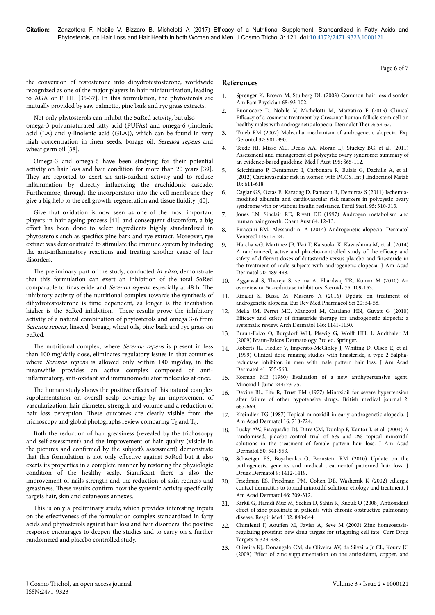the conversion of testosterone into dihydrotestosterone, worldwide recognized as one of the major players in hair miniaturization, leading to AGA or FPHL [35-37]. In this formulation, the phytosterols are mutually provided by saw palmetto, pine bark and rye grass extracts.

Not only phytosterols can inhibit the 5αRed activity, but also omega-3 polyunsaturated fatty acid (PUFAs) and omega-6 (linolenic acid (LA) and  $\gamma$ -linolenic acid (GLA)), which can be found in very high concentration in linen seeds, borage oil, Serenoa repens and wheat germ oil [38].

Omega-3 and omega-6 have been studying for their potential activity on hair loss and hair condition for more than 20 years [39]. They are reported to exert an anti-oxidant activity and to reduce inflammation by directly influencing the arachidonic cascade. Furthermore, through the incorporation into the cell membrane they give a big help to the cell growth, regeneration and tissue fluidit\ [40].

Give that oxidation is now seen as one of the most important players in hair ageing process [41] and consequent discomfort, a big effort has been done to select ingredients highly standardized in phytosterols such as specifics pine bark and rye extract. Moreover, rye extract was demonstrated to stimulate the immune system by inducing the anti-inflammatory reactions and treating another cause of hair disorders.

The preliminary part of the study, conducted in vitro, demonstrate that this formulation can exert an inhibition of the total 5αRed comparable to finasteride and Serenoa repens, especially at 48 h. The inhibitory activity of the nutritional complex towards the synthesis of dihydrotestosterone is time dependent, as longer is the incubation higher is the 5αRed inhibition. Нese results prove the inhibitory activity of a natural combination of phytosterols and omega 3-6 from Serenoa repens, linseed, borage, wheat oils, pine bark and rye grass on 5αRed.

The nutritional complex, where Serenoa repens is present in less than 100 mg/daily dose, eliminates regulatory issues in that countries where Serenoa repens is allowed only within 140 mg/day, in the meanwhile provides an active complex composed of antiinflammatory, anti-oxidant and immunomodulator molecules at once.

The human study shows the positive effects of this natural complex supplementation on overall scalp coverage by an improvement of vascularization, hair diameter, strength and volume and a reduction of hair loss perception. Нese outcomes are clearly visible from the trichoscopy and global photographs review comparing  $\rm T_{0}$  and  $\rm T_{6}$ .

Both the reduction of hair greasiness (revealed by the trichoscopy and self-assessment) and the improvement of hair quality (visible in the pictures and confirmed by the subject's assessment) demonstrate that this formulation is not only effective against 5αRed but it also exerts its properties in a complete manner by restoring the physiologic condition of the healthy scalp. Significant there is also the improvement of nails strength and the reduction of skin redness and greasiness. These results confirm how the systemic activity specifically targets hair, skin and cutaneous annexes.

This is only a preliminary study, which provides interesting inputs on the effectiveness of the formulation complex standardized in fatty acids and phytosterols against hair loss and hair disorders: the positive response encourages to deepen the studies and to carry on a further randomized and placebo controlled study.

# **References**

1. [Sprenger K, Brown M, Stulberg DL \(2003\) Common hair loss disorder.](http://www.aafp.org/afp/2003/0701/p93.html) [Am Fam Physician 68: 93-102.](http://www.aafp.org/afp/2003/0701/p93.html)

Page 6 of 7

- 2. [Buonocore D, Nobile V, Michelotti M, Marzatico F \(2013\) Clinical](https://dx.doi.org/10.1007%2Fs13555-013-0021-2) Efficacy [of a cosmetic treatment by Crescina® human follicle stem cell on](https://dx.doi.org/10.1007%2Fs13555-013-0021-2) [healthy males with androgenetic alopecia. Dermalot](https://dx.doi.org/10.1007%2Fs13555-013-0021-2) Ther 3: 53-62.
- 3. [Trueb RM \(2002\) Molecular mechanism of androgenetic alopecia. Exp](http://dx.doi.org/10.1016/S0531-5565(02)00093-1) [Gerontol 37: 981-990.](http://dx.doi.org/10.1016/S0531-5565(02)00093-1)
- 4. Teede HJ, Misso ML, Deeks AA, Moran LJ, Stuckey BG, et al. (2011) Assessment and management of polycystic ovary syndrome: summary of an evidence-based guideline. Med J Aust 195: S65-112.
- 5. [Scicchitano P, Dentamaro I, Carbonara R, Bulzis G, Dachille A, et al.](https://dx.doi.org/10.5812%2Fijem.4020) [\(2012\) Cardiovascular risk in women with PCOS. Int J Endocrinol Metab](https://dx.doi.org/10.5812%2Fijem.4020) [10: 611-618.](https://dx.doi.org/10.5812%2Fijem.4020)
- 6. [Caglar GS, Oztas E, Karadag D, Pabuccu R, Demirtas S \(2011\)](https://doi.org/10.1016/j.fertnstert.2010.06.092) Ischemiamodified [albumin and cardiovascular risk markers in polycystic ovary](https://doi.org/10.1016/j.fertnstert.2010.06.092) [syndrome with or without insulin resistance. Fertil Steril 95: 310-313.](https://doi.org/10.1016/j.fertnstert.2010.06.092)
- 7. Jones LN, Sinclair RD, Rivett DE (1997) Androgen metabolism and human hair growth. Chem Aust 64: 12-13.
- 8. Piraccini BM, Alessandrini A (2014) Androgenetic alopecia. Dermatol Venereol 149: 15-24.
- 9. [Harcha wG, Martinez JB, Tsai T, Katsuoka K, Kawashima M, et al. \(2014\)](https://doi.org/10.1016/j.jaad.2013.10.049) [A randomized, active and placebo-controlled study of the](https://doi.org/10.1016/j.jaad.2013.10.049) efficacy and safety of different [doses of dutasteride versus placebo and](https://doi.org/10.1016/j.jaad.2013.10.049) finasteride in [the treatment of male subjects with androgenetic alopecia. J Am Acad](https://doi.org/10.1016/j.jaad.2013.10.049) [Dermatol 70: 489-498.](https://doi.org/10.1016/j.jaad.2013.10.049)
- 10. Aggarwal S, Нareja [S, verma A, Bhardwaj TR, Kumar M \(2010\) An](https://doi.org/10.1016/j.steroids.2009.10.005) [overview on 5α-reductase inhibitiors. Steroids 75: 109-153.](https://doi.org/10.1016/j.steroids.2009.10.005)
- 11. [Rinaldi S, Bussa M, Mascaro A \(2016\) Update on treatment of](http://www.europeanreview.org/article/10128) [androgenetic alopecia. Eur Rev Med Pharmacol Sci 20: 54-58.](http://www.europeanreview.org/article/10128)
- 12. [Mella JM, Perret MC, Manzotti M, Catalano HN, Guyatt G \(2010\)](https://doi.org/10.1001/archdermatol.2010.256) Efficacy and safety of finasteride [therapy for androgenetic alopecia: a](https://doi.org/10.1001/archdermatol.2010.256) [systematic review. Arch Dermatol 146: 1141-1150.](https://doi.org/10.1001/archdermatol.2010.256)
- 13. Braun-Falco O, Burgdorf WH, Plewig G, Wolff HH, L Andthaler M (2009) Braun-Falco's Dermatology. 3rd ed. Springer.
- 14. Roberts JL, Fiedler V, Imperato-McGinley J, Whiting D, Olsen E, et al. (1999) Clinical dose ranging studies with finasteride, a type 2 5alphareductase inhibitor, in men with male pattern hair loss. J Am Acad Dermatol 41: 555-563.
- 15. [Kosman ME \(1980\) Evaluation of a new antihypertensive agent.](http://dx.doi.org/10.1001/jama.1980.03310010059037) [Minoxidil. Jama 244: 73-75.](http://dx.doi.org/10.1001/jama.1980.03310010059037)
- 16. Devine BL, Fife R, Trust PM (1977) Minoxidil for severe hypertension after failure of other hypotensive drugs. British medical journal 2: 667-669.
- 17. [Kreindler TG \(1987\) Topical minoxidil in early androgenetic alopecia. J](http://dx.doi.org/10.1016/S0190-9622(87)70093-0) [Am Acad Dermatol 16: 718-724.](http://dx.doi.org/10.1016/S0190-9622(87)70093-0)
- [Lucky AW, Piacquadio DJ, Ditre CM, Dunlap F, Kantor I, et al. \(2004\) A](https://doi.org/10.1016/j.jaad.2003.06.014) [randomized, placebo-control trial of 5% and 2% topical minoxidil](https://doi.org/10.1016/j.jaad.2003.06.014) [solutions in the treatment of female pattern hair loss. J Am Acad](https://doi.org/10.1016/j.jaad.2003.06.014) [Dermatol 50: 541-553.](https://doi.org/10.1016/j.jaad.2003.06.014)
- 19. Schweiger ES, Boychenko O, Bernstein RM (2010) Update on the pathogenesis, genetics and medical treatmentof patterned hair loss. J Drugs Dermatol 9: 1412-1419.
- 20. Friedman ES, Friedman PM, Cohen DE, Washenik K (2002) Allergic contact dermatitis to topical minoxidil solution: etiology and treatment. J Am Acad Dermatol 46: 309-312.
- 21. [Kirkil G, Hamdi Muz M, Seckin D, Sahin K, Kucuk O \(2008\) Antioxidant](https://doi.org/10.1016/j.rmed.2008.01.010) effect [of zinc picolinate in patients with chronic obstructive pulmonary](https://doi.org/10.1016/j.rmed.2008.01.010) [disease. Respir Med 102: 840-844.](https://doi.org/10.1016/j.rmed.2008.01.010)
- 22. Chimienti F, Aouffen M, Favier A, Seve M (2003) Zinc homeostasisregulating proteins: new drug targets for triggering cell fate. Curr Drug Targets 4: 323-338.
- 23. [Oliveira KJ, Donangelo CM, de Oliveira AV, da Silveira Jr CL, Koury JC](https://doi.org/10.1002/cbf.1550) (2009) Effect [of zinc supplementation on the antioxidant, copper, and](https://doi.org/10.1002/cbf.1550)